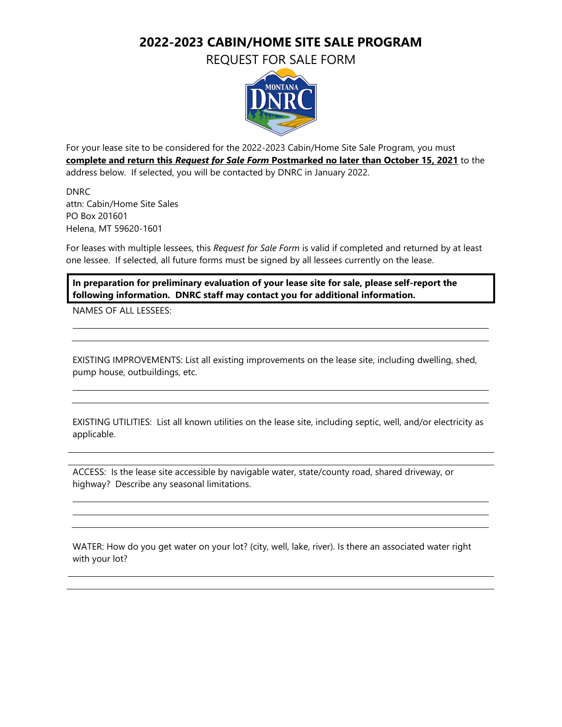## **2022-2023 CABIN/HOME SITE SALE PROGRAM**

REQUEST FOR SALE FORM



For your lease site to be considered for the 2022-2023 Cabin/Home Site Sale Program, you must **complete and return this** *Request for Sale Form* **Postmarked no later than October 15, 2021** to the address below. If selected, you will be contacted by DNRC in January 2022.

DNRC attn: Cabin/Home Site Sales PO Box 201601 Helena, MT 59620-1601

For leases with multiple lessees, this *Request for Sale Form* is valid if completed and returned by at least one lessee. If selected, all future forms must be signed by all lessees currently on the lease.

**In preparation for preliminary evaluation of your lease site for sale, please self-report the following information. DNRC staff may contact you for additional information.**

NAMES OF ALL LESSEES:

EXISTING IMPROVEMENTS: List all existing improvements on the lease site, including dwelling, shed, pump house, outbuildings, etc.

EXISTING UTILITIES: List all known utilities on the lease site, including septic, well, and/or electricity as applicable.

ACCESS: Is the lease site accessible by navigable water, state/county road, shared driveway, or highway? Describe any seasonal limitations.

WATER: How do you get water on your lot? (city, well, lake, river). Is there an associated water right with your lot?